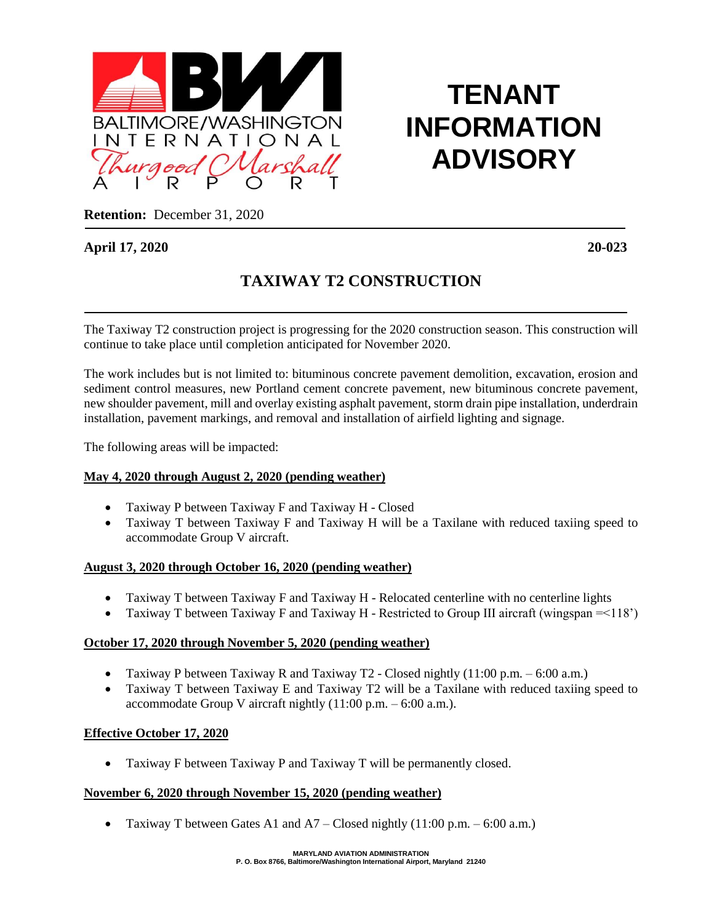

# **TENANT INFORMATION ADVISORY**

**Retention:** December 31, 2020

# **April 17, 2020 20-023**

# **TAXIWAY T2 CONSTRUCTION**

 The Taxiway T2 construction project is progressing for the 2020 construction season. This construction will continue to take place until completion anticipated for November 2020.

The work includes but is not limited to: bituminous concrete pavement demolition, excavation, erosion and sediment control measures, new Portland cement concrete pavement, new bituminous concrete pavement, new shoulder pavement, mill and overlay existing asphalt pavement, storm drain pipe installation, underdrain installation, pavement markings, and removal and installation of airfield lighting and signage.

The following areas will be impacted:

## **May 4, 2020 through August 2, 2020 (pending weather)**

- Taxiway P between Taxiway F and Taxiway H Closed
- Taxiway T between Taxiway F and Taxiway H will be a Taxilane with reduced taxiing speed to accommodate Group V aircraft.

#### **August 3, 2020 through October 16, 2020 (pending weather)**

- Taxiway T between Taxiway F and Taxiway H Relocated centerline with no centerline lights
- Taxiway T between Taxiway F and Taxiway H Restricted to Group III aircraft (wingspan =<118')

#### **October 17, 2020 through November 5, 2020 (pending weather)**

- Taxiway P between Taxiway R and Taxiway T2 Closed nightly  $(11:00 \text{ p.m.} 6:00 \text{ a.m.})$
- Taxiway T between Taxiway E and Taxiway T2 will be a Taxilane with reduced taxiing speed to accommodate Group V aircraft nightly  $(11:00 \text{ p.m.} - 6:00 \text{ a.m.}).$

## **Effective October 17, 2020**

• Taxiway F between Taxiway P and Taxiway T will be permanently closed.

#### **November 6, 2020 through November 15, 2020 (pending weather)**

• Taxiway T between Gates A1 and  $A7 - C$ losed nightly (11:00 p.m.  $-6:00$  a.m.)